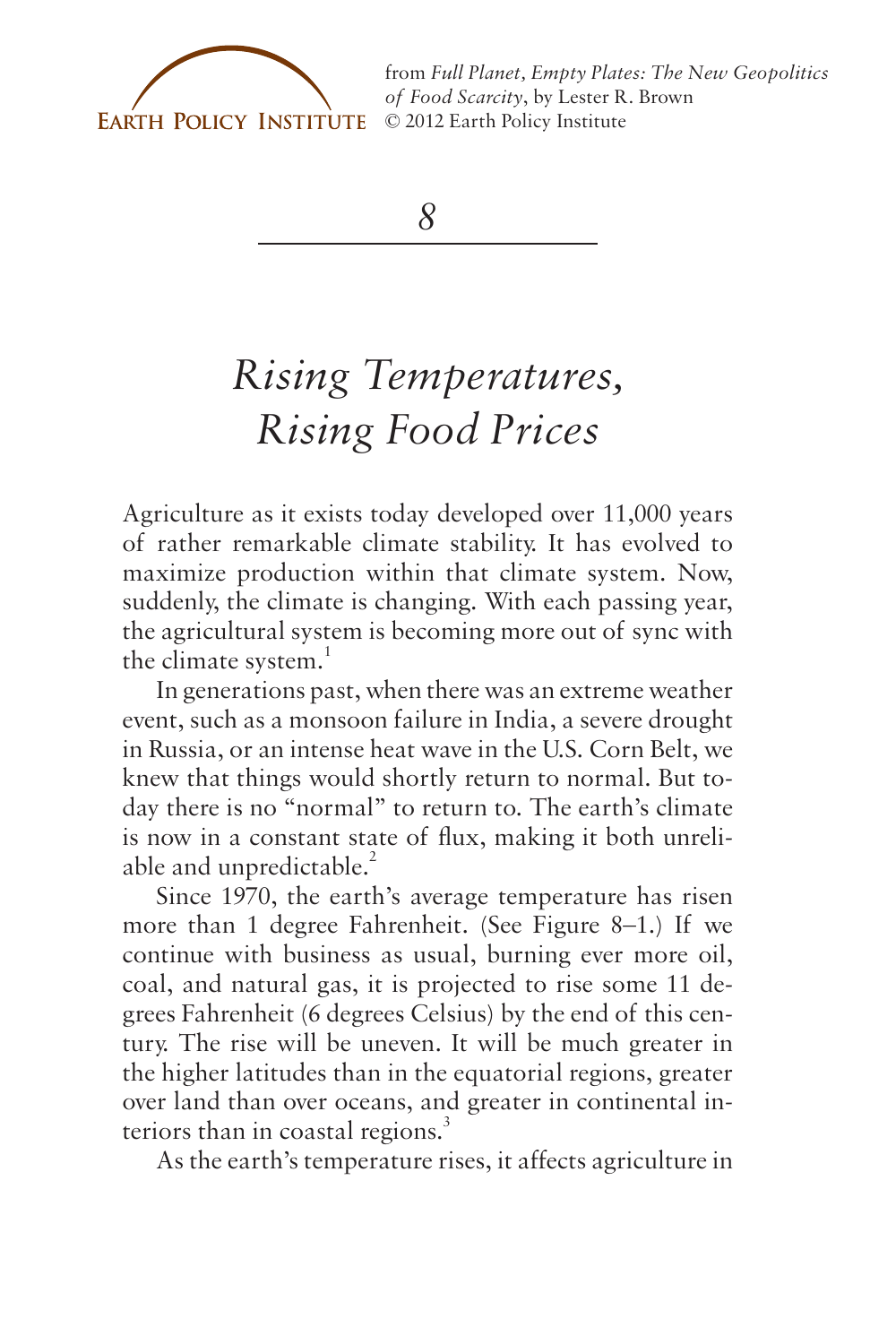

from *[Full Planet, Empty Plates: The New Geopolitics](http://www.earth-policy.org) of Food Scarcity*, by Lester R. Brown

*8*

## *Rising Temperatures, Rising Food Prices*

Agriculture as it exists today developed over 11,000 years of rather remarkable climate stability. It has evolved to maximize production within that climate system. Now, suddenly, the climate is changing. With each passing year, the agricultural system is becoming more out of sync with the climate system. $<sup>1</sup>$ </sup>

In generations past, when there was an extreme weather event, such as a monsoon failure in India, a severe drought in Russia, or an intense heat wave in the U.S. Corn Belt, we knew that things would shortly return to normal. But today there is no "normal" to return to. The earth's climate is now in a constant state of flux, making it both unreliable and unpredictable. $^{2}$ 

Since 1970, the earth's average temperature has risen more than 1 degree Fahrenheit. (See Figure 8–1.) If we continue with business as usual, burning ever more oil, coal, and natural gas, it is projected to rise some 11 degrees Fahrenheit (6 degrees Celsius) by the end of this century. The rise will be uneven. It will be much greater in the higher latitudes than in the equatorial regions, greater over land than over oceans, and greater in continental interiors than in coastal regions. $3$ 

As the earth's temperature rises, it affects agriculture in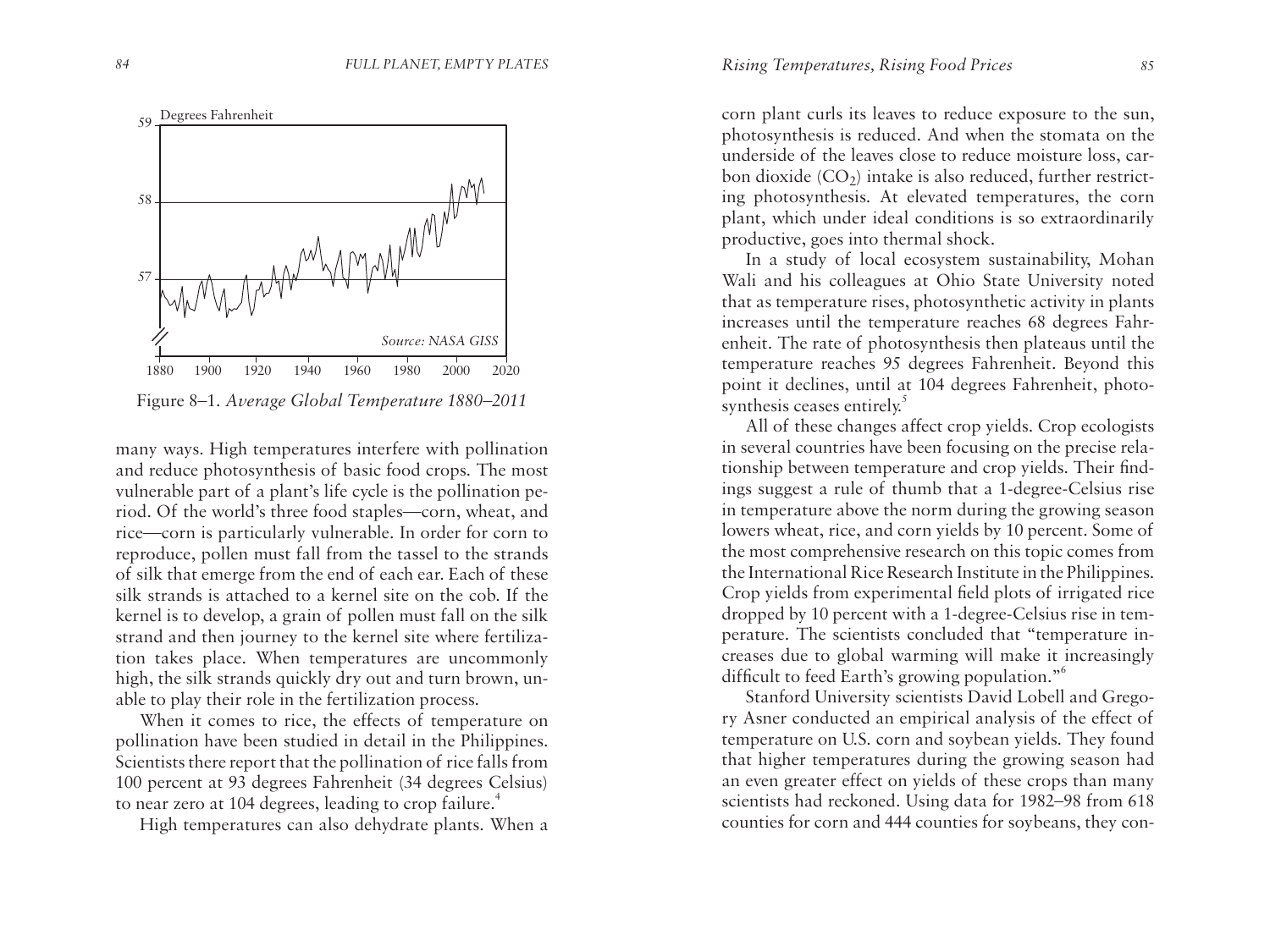

Figure 8–1. *Average Global Temperature 1880–2011*

many ways. High temperatures interfere with pollination and reduce photosynthesis of basic food crops. The most vulnerable part of a plant's life cycle is the pollination period. Of the world's three food staples—corn, wheat, and rice—corn is particularly vulnerable. In order for corn to reproduce, pollen must fall from the tassel to the strands of silk that emerge from the end of each ear. Each of these silk strands is attached to a kernel site on the cob. If the kernel is to develop, a grain of pollen must fall on the silk strand and then journey to the kernel site where fertilization takes place. When temperatures are uncommonly high, the silk strands quickly dry out and turn brown, unable to play their role in the fertilization process.

When it comes to rice, the effects of temperature on pollination have been studied in detail in the Philippines. Scientists there report that the pollination of rice falls from 100 percent at 93 degrees Fahrenheit (34 degrees Celsius) to near zero at 104 degrees, leading to crop failure.<sup>4</sup>

High temperatures can also dehydrate plants. When a

corn plant curls its leaves to reduce exposure to the sun, photosynthesis is reduced. And when the stomata on the underside of the leaves close to reduce moisture loss, carbon dioxide  $(CO<sub>2</sub>)$  intake is also reduced, further restricting photosynthesis. At elevated temperatures, the corn plant, which under ideal conditions is so extraordinarily productive, goes into thermal shock.

In a study of local ecosystem sustainability, Mohan Wali and his colleagues at Ohio State University noted that as temperature rises, photosynthetic activity in plants increases until the temperature reaches 68 degrees Fahrenheit. The rate of photosynthesis then plateaus until the temperature reaches 95 degrees Fahrenheit. Beyond this point it declines, until at 104 degrees Fahrenheit, photosynthesis ceases entirely.<sup>5</sup>

All of these changes affect crop yields. Crop ecologists in several countries have been focusing on the precise relationship between temperature and crop yields. Their findings suggest a rule of thumb that a 1-degree-Celsius rise in temperature above the norm during the growing season lowers wheat, rice, and corn yields by 10 percent. Some of the most comprehensive research on this topic comes from the International Rice Research Institute in the Philippines. Crop yields from experimental field plots of irrigated rice dropped by 10 percent with a 1-degree-Celsius rise in temperature. The scientists concluded that "temperature increases due to global warming will make it increasingly difficult to feed Earth's growing population."<sup>6</sup>

Stanford University scientists David Lobell and Gregory Asner conducted an empirical analysis of the effect of temperature on U.S. corn and soybean yields. They found that higher temperatures during the growing season had an even greater effect on yields of these crops than many scientists had reckoned. Using data for 1982–98 from 618 counties for corn and 444 counties for soybeans, they con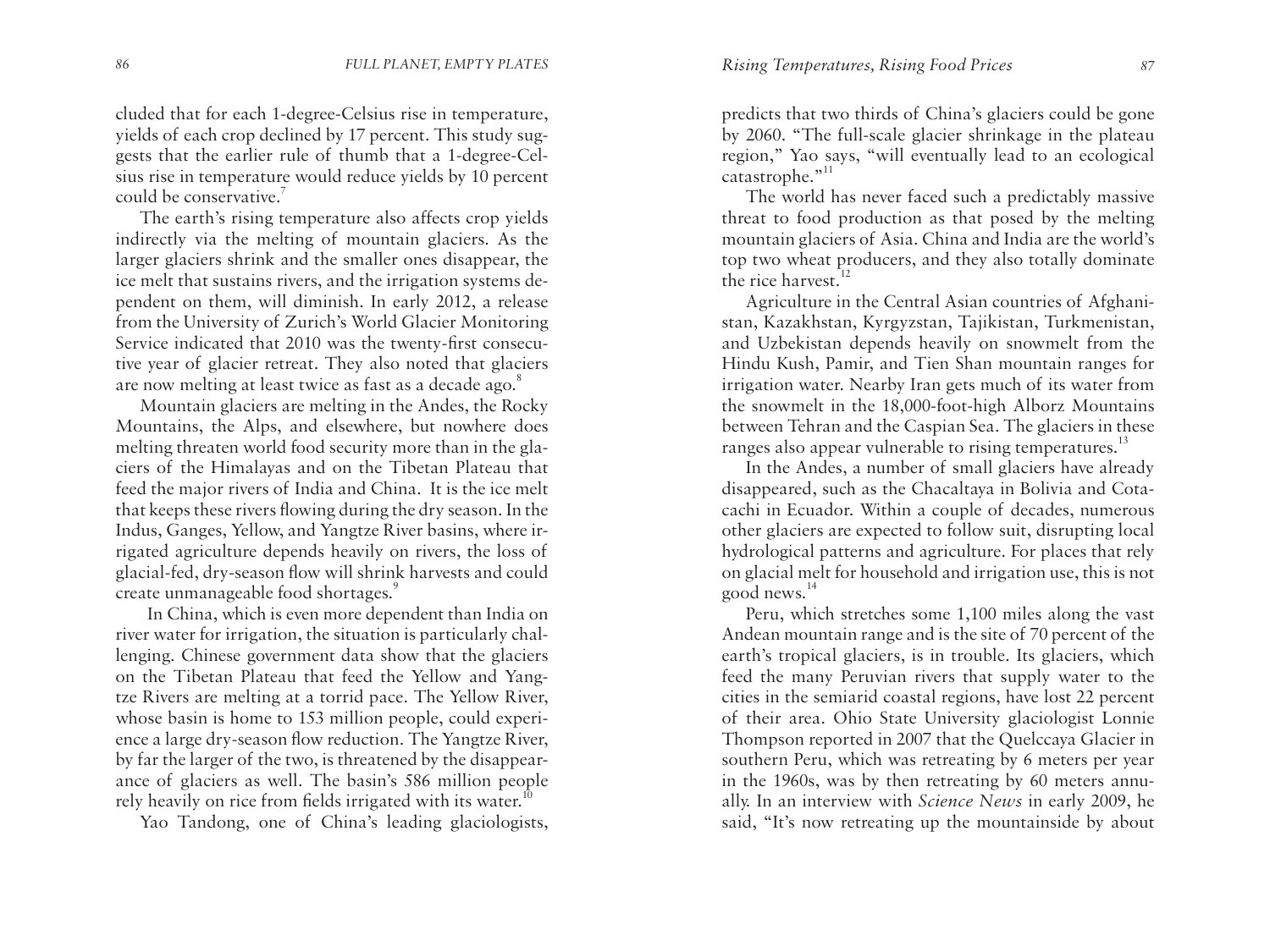cluded that for each 1-degree-Celsius rise in temperature, yields of each crop declined by 17 percent. This study suggests that the earlier rule of thumb that a 1-degree-Celsius rise in temperature would reduce yields by 10 percent could be conservative.

The earth's rising temperature also affects crop yields indirectly via the melting of mountain glaciers. As the larger glaciers shrink and the smaller ones disappear, the ice melt that sustains rivers, and the irrigation systems dependent on them, will diminish. In early 2012, a release from the University of Zurich's World Glacier Monitoring Service indicated that 2010 was the twenty-first consecutive year of glacier retreat. They also noted that glaciers are now melting at least twice as fast as a decade ago.<sup>8</sup>

Mountain glaciers are melting in the Andes, the Rocky Mountains, the Alps, and elsewhere, but nowhere does melting threaten world food security more than in the glaciers of the Himalayas and on the Tibetan Plateau that feed the major rivers of India and China. It is the ice melt that keeps these rivers flowing during the dry season. In the Indus, Ganges, Yellow, and Yangtze River basins, where irrigated agriculture depends heavily on rivers, the loss of glacial-fed, dry-season flow will shrink harvests and could create unmanageable food shortages.<sup>9</sup>

 In China, which is even more dependent than India on river water for irrigation, the situation is particularly challenging. Chinese government data show that the glaciers on the Tibetan Plateau that feed the Yellow and Yangtze Rivers are melting at a torrid pace. The Yellow River, whose basin is home to 153 million people, could experience a large dry-season flow reduction. The Yangtze River, by far the larger of the two, is threatened by the disappearance of glaciers as well. The basin's 586 million people rely heavily on rice from fields irrigated with its water.<sup>11</sup>

Yao Tandong, one of China's leading glaciologists,

predicts that two thirds of China's glaciers could be gone by 2060. "The full-scale glacier shrinkage in the plateau region," Yao says, "will eventually lead to an ecological catastrophe."<sup>11</sup>

The world has never faced such a predictably massive threat to food production as that posed by the melting mountain glaciers of Asia. China and India are the world's top two wheat producers, and they also totally dominate the rice harvest.<sup>12</sup>

Agriculture in the Central Asian countries of Afghanistan, Kazakhstan, Kyrgyzstan, Tajikistan, Turkmenistan, and Uzbekistan depends heavily on snowmelt from the Hindu Kush, Pamir, and Tien Shan mountain ranges for irrigation water. Nearby Iran gets much of its water from the snowmelt in the 18,000-foot-high Alborz Mountains between Tehran and the Caspian Sea. The glaciers in these ranges also appear vulnerable to rising temperatures.<sup>13</sup>

In the Andes, a number of small glaciers have already disappeared, such as the Chacaltaya in Bolivia and Cotacachi in Ecuador. Within a couple of decades, numerous other glaciers are expected to follow suit, disrupting local hydrological patterns and agriculture. For places that rely on glacial melt for household and irrigation use, this is not good news.14

Peru, which stretches some 1,100 miles along the vast Andean mountain range and is the site of 70 percent of the earth's tropical glaciers, is in trouble. Its glaciers, which feed the many Peruvian rivers that supply water to the cities in the semiarid coastal regions, have lost 22 percent of their area. Ohio State University glaciologist Lonnie Thompson reported in 2007 that the Quelccaya Glacier in southern Peru, which was retreating by 6 meters per year in the 1960s, was by then retreating by 60 meters annually. In an interview with *Science News* in early 2009, he said, "It's now retreating up the mountainside by about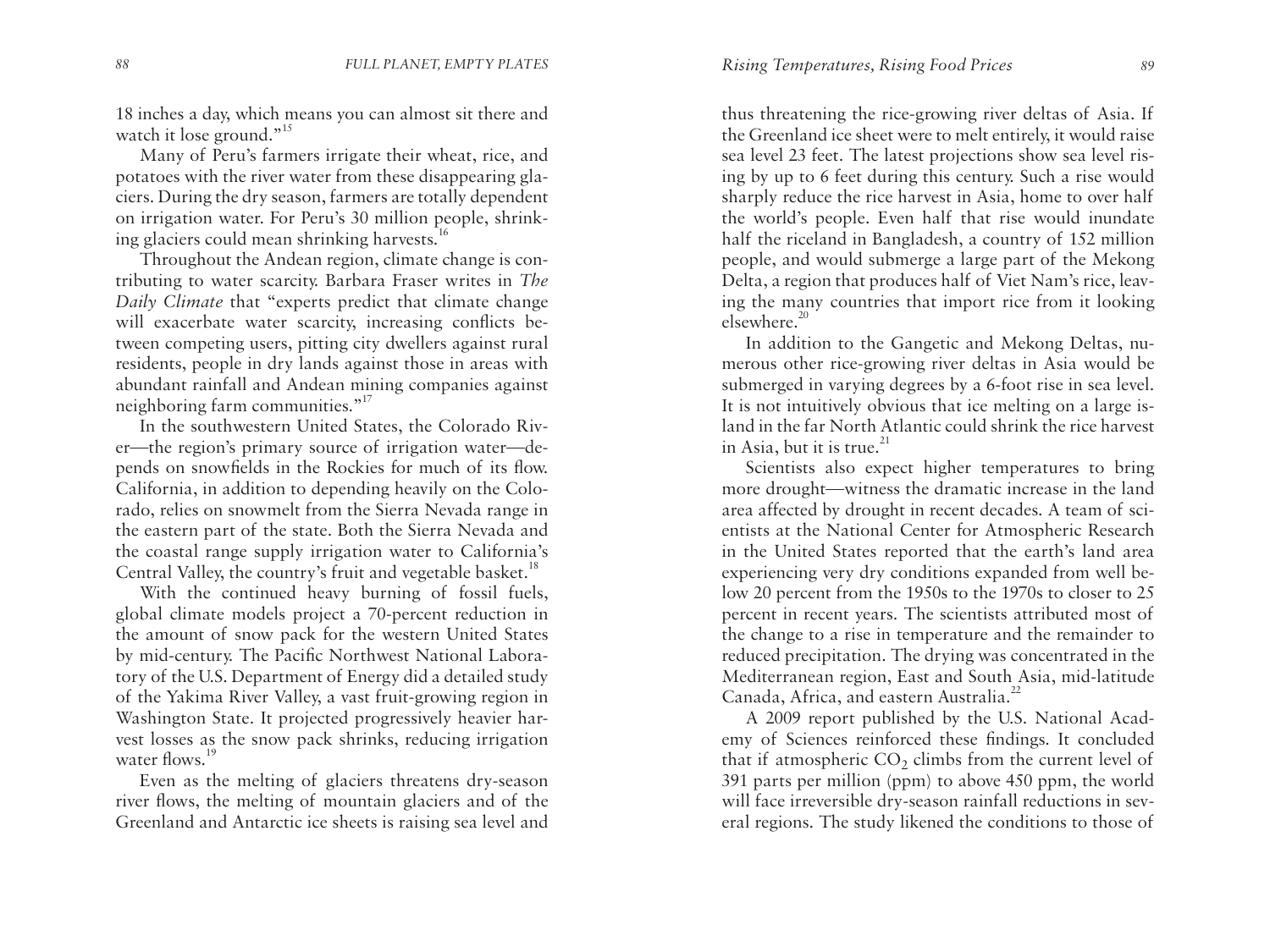18 inches a day, which means you can almost sit there and watch it lose ground."<sup>15</sup>

Many of Peru's farmers irrigate their wheat, rice, and potatoes with the river water from these disappearing glaciers. During the dry season, farmers are totally dependent on irrigation water. For Peru's 30 million people, shrinking glaciers could mean shrinking harvests.<sup>16</sup>

Throughout the Andean region, climate change is contributing to water scarcity. Barbara Fraser writes in *The Daily Climate* that "experts predict that climate change will exacerbate water scarcity, increasing conflicts between competing users, pitting city dwellers against rural residents, people in dry lands against those in areas with abundant rainfall and Andean mining companies against neighboring farm communities."<sup>17</sup>

In the southwestern United States, the Colorado River—the region's primary source of irrigation water—depends on snowfields in the Rockies for much of its flow. California, in addition to depending heavily on the Colorado, relies on snowmelt from the Sierra Nevada range in the eastern part of the state. Both the Sierra Nevada and the coastal range supply irrigation water to California's Central Valley, the country's fruit and vegetable basket.<sup>18</sup>

With the continued heavy burning of fossil fuels, global climate models project a 70-percent reduction in the amount of snow pack for the western United States by mid-century. The Pacific Northwest National Laboratory of the U.S. Department of Energy did a detailed study of the Yakima River Valley, a vast fruit-growing region in Washington State. It projected progressively heavier harvest losses as the snow pack shrinks, reducing irrigation water flows.<sup>19</sup>

Even as the melting of glaciers threatens dry-season river flows, the melting of mountain glaciers and of the Greenland and Antarctic ice sheets is raising sea level and

thus threatening the rice-growing river deltas of Asia. If the Greenland ice sheet were to melt entirely, it would raise sea level 23 feet. The latest projections show sea level rising by up to 6 feet during this century. Such a rise would sharply reduce the rice harvest in Asia, home to over half the world's people. Even half that rise would inundate half the riceland in Bangladesh, a country of 152 million people, and would submerge a large part of the Mekong Delta, a region that produces half of Viet Nam's rice, leaving the many countries that import rice from it looking elsewhere.<sup>20</sup>

In addition to the Gangetic and Mekong Deltas, numerous other rice-growing river deltas in Asia would be submerged in varying degrees by a 6-foot rise in sea level. It is not intuitively obvious that ice melting on a large island in the far North Atlantic could shrink the rice harvest in Asia, but it is true. $^{21}$ 

Scientists also expect higher temperatures to bring more drought—witness the dramatic increase in the land area affected by drought in recent decades. A team of scientists at the National Center for Atmospheric Research in the United States reported that the earth's land area experiencing very dry conditions expanded from well below 20 percent from the 1950s to the 1970s to closer to 25 percent in recent years. The scientists attributed most of the change to a rise in temperature and the remainder to reduced precipitation. The drying was concentrated in the Mediterranean region, East and South Asia, mid-latitude Canada, Africa, and eastern Australia.<sup>22</sup>

A 2009 report published by the U.S. National Academy of Sciences reinforced these findings. It concluded that if atmospheric  $CO<sub>2</sub>$  climbs from the current level of 391 parts per million (ppm) to above 450 ppm, the world will face irreversible dry-season rainfall reductions in several regions. The study likened the conditions to those of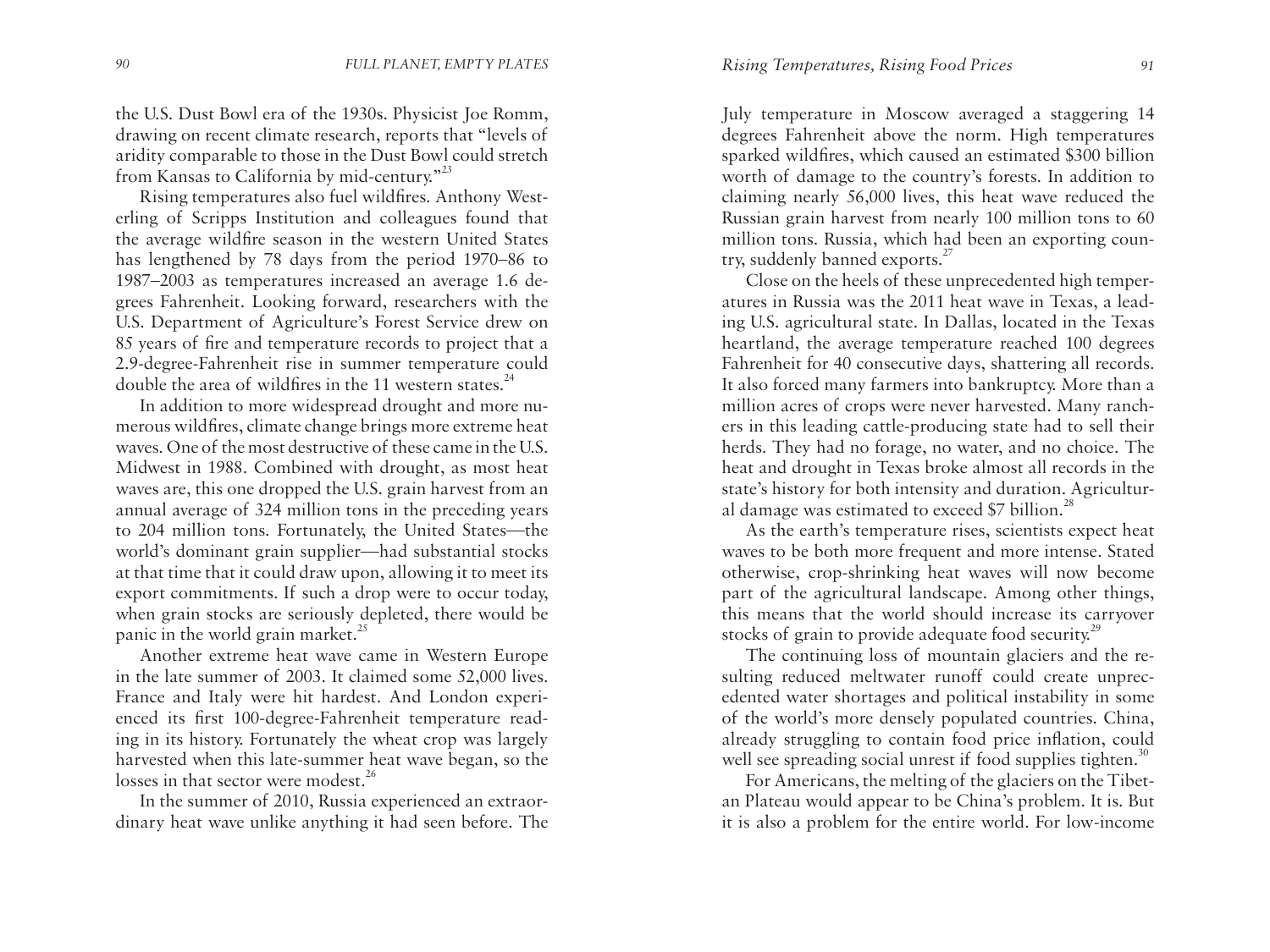the U.S. Dust Bowl era of the 1930s. Physicist Joe Romm, drawing on recent climate research, reports that "levels of aridity comparable to those in the Dust Bowl could stretch from Kansas to California by mid-century."23

Rising temperatures also fuel wildfires. Anthony Westerling of Scripps Institution and colleagues found that the average wildfire season in the western United States has lengthened by 78 days from the period 1970–86 to 1987–2003 as temperatures increased an average 1.6 degrees Fahrenheit. Looking forward, researchers with the U.S. Department of Agriculture's Forest Service drew on 85 years of fire and temperature records to project that a 2.9-degree-Fahrenheit rise in summer temperature could double the area of wildfires in the 11 western states.<sup>24</sup>

In addition to more widespread drought and more numerous wildfires, climate change brings more extreme heat waves. One of the most destructive of these came in the U.S. Midwest in 1988. Combined with drought, as most heat waves are, this one dropped the U.S. grain harvest from an annual average of 324 million tons in the preceding years to 204 million tons. Fortunately, the United States—the world's dominant grain supplier—had substantial stocks at that time that it could draw upon, allowing it to meet its export commitments. If such a drop were to occur today, when grain stocks are seriously depleted, there would be panic in the world grain market.<sup>25</sup>

Another extreme heat wave came in Western Europe in the late summer of 2003. It claimed some 52,000 lives. France and Italy were hit hardest. And London experienced its first 100-degree-Fahrenheit temperature reading in its history. Fortunately the wheat crop was largely harvested when this late-summer heat wave began, so the losses in that sector were modest.<sup>26</sup>

In the summer of 2010, Russia experienced an extraordinary heat wave unlike anything it had seen before. The July temperature in Moscow averaged a staggering 14 degrees Fahrenheit above the norm. High temperatures sparked wildfires, which caused an estimated \$300 billion worth of damage to the country's forests. In addition to claiming nearly 56,000 lives, this heat wave reduced the Russian grain harvest from nearly 100 million tons to 60 million tons. Russia, which had been an exporting country, suddenly banned exports.<sup>27</sup>

Close on the heels of these unprecedented high temperatures in Russia was the 2011 heat wave in Texas, a leading U.S. agricultural state. In Dallas, located in the Texas heartland, the average temperature reached 100 degrees Fahrenheit for 40 consecutive days, shattering all records. It also forced many farmers into bankruptcy. More than a million acres of crops were never harvested. Many ranchers in this leading cattle-producing state had to sell their herds. They had no forage, no water, and no choice. The heat and drought in Texas broke almost all records in the state's history for both intensity and duration. Agricultural damage was estimated to exceed \$7 billion.<sup>28</sup>

As the earth's temperature rises, scientists expect heat waves to be both more frequent and more intense. Stated otherwise, crop-shrinking heat waves will now become part of the agricultural landscape. Among other things, this means that the world should increase its carryover stocks of grain to provide adequate food security.<sup>29</sup>

The continuing loss of mountain glaciers and the resulting reduced meltwater runoff could create unprecedented water shortages and political instability in some of the world's more densely populated countries. China, already struggling to contain food price inflation, could well see spreading social unrest if food supplies tighten.<sup>30</sup>

For Americans, the melting of the glaciers on the Tibetan Plateau would appear to be China's problem. It is. But it is also a problem for the entire world. For low-income